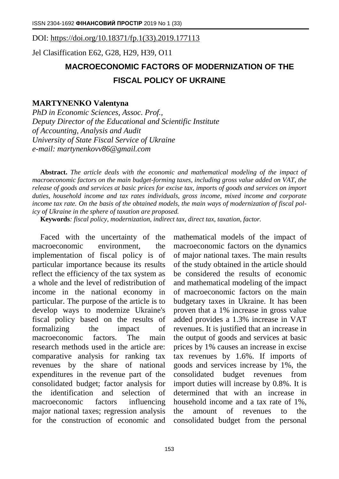DOI: [https://doi.org/10.18371/fp.1\(33\).2019.177113](https://doi.org/10.18371/fp.1(33).2019.177113)

Jel Clasiffication E62, G28, H29, H39, O11

## **MACROECONOMIC FACTORS OF MODERNIZATION OF THE FISCAL POLICY OF UKRAINE**

## **MARTYNENKO Valentyna**

*PhD in Economic Sciences, Assoc. Prof., Deputy Director of the Educational and Scientific Institute of Accounting, Analysis and Audit University of State Fiscal Service of Ukraine e-mail: [martynenkovv86@gmail.com](mailto:martynenkovv86@gmail.com)*

**Abstract.** *The article deals with the economic and mathematical modeling of the impact of macroeconomic factors on the main budget-forming taxes, including gross value added on VAT, the release of goods and services at basic prices for excise tax, imports of goods and services on import duties, household income and tax rates individuals, gross income, mixed income and corporate income tax rate. On the basis of the obtained models, the main ways of modernization of fiscal policy of Ukraine in the sphere of taxation are proposed.*

**Keywords***: fiscal policy, modernization, indirect tax, direct tax, taxation, factor.*

Faced with the uncertainty of the macroeconomic environment, the implementation of fiscal policy is of particular importance because its results reflect the efficiency of the tax system as a whole and the level of redistribution of income in the national economy in particular. The purpose of the article is to develop ways to modernize Ukraine's fiscal policy based on the results of formalizing the impact of macroeconomic factors. The main research methods used in the article are: comparative analysis for ranking tax revenues by the share of national expenditures in the revenue part of the consolidated budget; factor analysis for the identification and selection of macroeconomic factors influencing major national taxes; regression analysis for the construction of economic and

mathematical models of the impact of macroeconomic factors on the dynamics of major national taxes. The main results of the study obtained in the article should be considered the results of economic and mathematical modeling of the impact of macroeconomic factors on the main budgetary taxes in Ukraine. It has been proven that a 1% increase in gross value added provides a 1.3% increase in VAT revenues. It is justified that an increase in the output of goods and services at basic prices by 1% causes an increase in excise tax revenues by 1.6%. If imports of goods and services increase by 1%, the consolidated budget revenues from import duties will increase by 0.8%. It is determined that with an increase in household income and a tax rate of 1%, the amount of revenues to the consolidated budget from the personal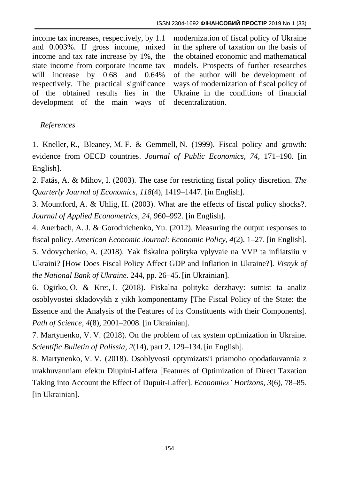income tax increases, respectively, by 1.1 and 0.003%. If gross income, mixed income and tax rate increase by 1%, the state income from corporate income tax will increase by 0.68 and 0.64% respectively. The practical significance of the obtained results lies in the development of the main ways of modernization of fiscal policy of Ukraine in the sphere of taxation on the basis of the obtained economic and mathematical models. Prospects of further researches of the author will be development of ways of modernization of fiscal policy of Ukraine in the conditions of financial decentralization.

## *References*

1. Kneller, R., Bleaney, M. F. & Gemmell, N. (1999). Fiscal policy and growth: evidence from OECD countries. *Journal of Public Economics*, *74*, 171–190. [in English].

2. Fatás, A. & Mihov, I. (2003). The case for restricting fiscal policy discretion. *The Quarterly Journal of Economics, 118*(4), 1419–1447. [in English].

3. Mountford, A. & Uhlig, H. (2003). What are the effects of fiscal policy shocks?. *Journal of Applied Econometrics, 24*, 960–992. [in English].

4. Auerbach, A. J. & Gorodnichenko, Yu. (2012). Measuring the output responses to fiscal policy. *American Economic Journal*: *Economic Policy, 4*(2), 1–27. [in English].

5. Vdovychenko, A. (2018). Yak fiskalna polityka vplyvaie na VVP ta infliatsiiu v Ukraini? [How Does Fiscal Policy Affect GDP and Inflation in Ukraine?]. *Visnyk of the National Bank of Ukraine*. 244, pp. 26–45. [in Ukrainian].

6. Ogirko, О. & Kret, I. (2018). Fiskalna polityka derzhavy: sutnist ta analiz osoblyvostei skladovykh z yikh komponentamy [The Fiscal Policy of the State: the Essence and the Analysis of the Features of its Constituents with their Components]. *Path of Science, 4*(8), 2001–2008. [in Ukrainian].

7. Martynenko, V. V. (2018). On the problem of tax system optimization in Ukraine. *Scientific Bulletin of Polissia, 2*(14), part 2, 129–134. [in English].

8. Martynenko, V. V. (2018). Osoblyvosti optymizatsii priamoho opodatkuvannia z urakhuvanniam efektu Diupiui-Laffera [Features of Optimization of Direct Taxation Taking into Account the Effect of Dupuit-Laffer]. *Economies' Horizons, 3*(6), 78–85. [in Ukrainian].